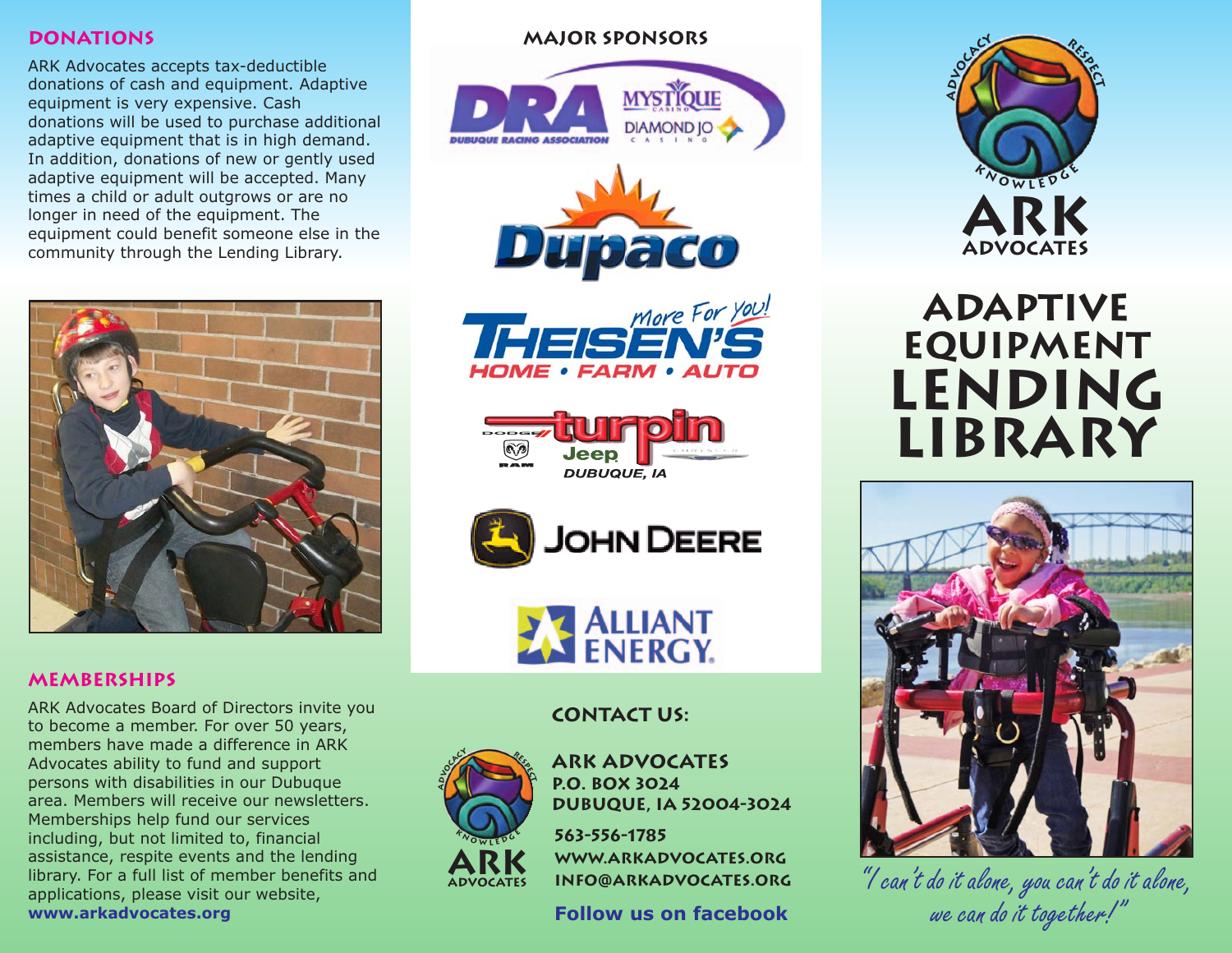#### **donations**

ARK Advocates accepts tax-deductible donations of cash and equipment. Adaptive equipment is very expensive. Cash donations will be used to purchase additional adaptive equipment that is in high demand. In addition, donations of new or gently used adaptive equipment will be accepted. Many times a child or adult outgrows or are no longer in need of the equipment. The equipment could benefit someone else in the community through the Lending Library.



#### **major Sponsors**











#### **memberships**

ARK Advocates Board of Directors invite you to become a member. For over 50 years, members have made a difference in ARK Advocates ability to fund and support persons with disabilities in our Dubuque area. Members will receive our newsletters. Memberships help fund our services including, but not limited to, financial assistance, respite events and the lending library. For a full list of member benefits and applications, please visit our website, **www.arkadvocates.org**

## **contact us:**



**ARK Advocates P.O. Box 3024 Dubuque, IA 52004-3024**

**563-556-1785 www.arkadvocates.org info@arkadvocates.org**

**Follow us on facebook**



# **Adaptive Equipment Lending Library**



 *"I can't do it alone, you can't do it alone, we can do it together!"*